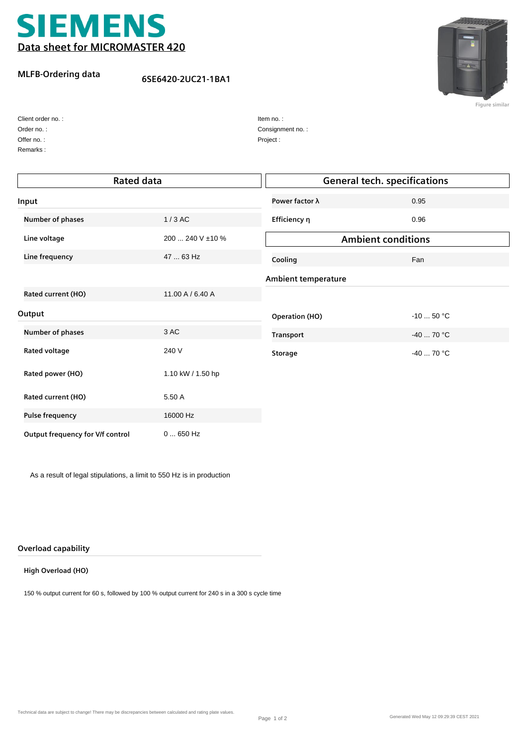

## **MLFB-Ordering data**

**6SE6420-2UC21-1BA1**



**Figure similar**

| Client order no.: |
|-------------------|
| Order no.:        |
| Offer no.:        |

Remarks :

| Item no.:        |  |
|------------------|--|
| Consignment no.: |  |
| Project:         |  |

| <b>Rated data</b>                |                   | <b>General tech. specifications</b> |             |  |
|----------------------------------|-------------------|-------------------------------------|-------------|--|
| Input                            |                   | Power factor $\lambda$              | 0.95        |  |
| Number of phases                 | $1/3$ AC          | Efficiency η                        | 0.96        |  |
| Line voltage                     | 200  240 V ±10 %  | <b>Ambient conditions</b>           |             |  |
| Line frequency                   | 47  63 Hz         | Cooling                             | Fan         |  |
|                                  |                   | <b>Ambient temperature</b>          |             |  |
| Rated current (HO)               | 11.00 A / 6.40 A  |                                     |             |  |
| Output                           |                   | <b>Operation (HO)</b>               | $-10$ 50 °C |  |
| Number of phases                 | 3 AC              | <b>Transport</b>                    | $-40$ 70 °C |  |
| Rated voltage                    | 240 V             | <b>Storage</b>                      | $-40$ 70 °C |  |
| Rated power (HO)                 | 1.10 kW / 1.50 hp |                                     |             |  |
| Rated current (HO)               | 5.50 A            |                                     |             |  |
| <b>Pulse frequency</b>           | 16000 Hz          |                                     |             |  |
| Output frequency for V/f control | $0650$ Hz         |                                     |             |  |

As a result of legal stipulations, a limit to 550 Hz is in production

## **Overload capability**

## **High Overload (HO)**

150 % output current for 60 s, followed by 100 % output current for 240 s in a 300 s cycle time